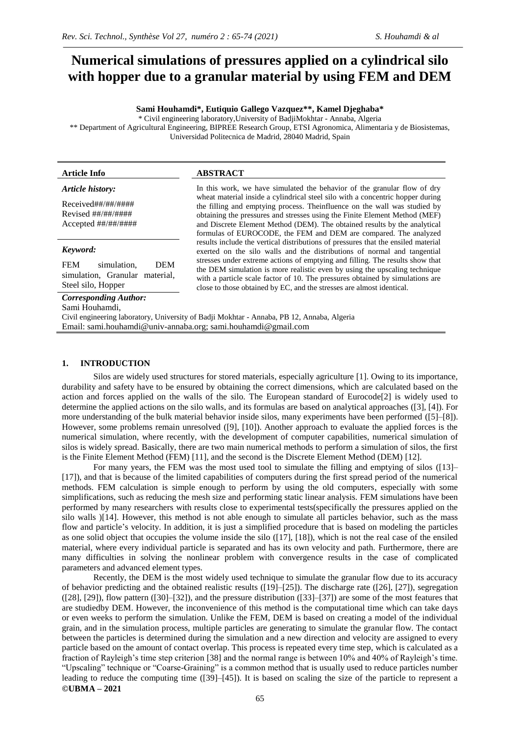# **Numerical simulations of pressures applied on a cylindrical silo with hopper due to a granular material by using FEM and DEM**

#### **Sami Houhamdi\*, Eutiquio Gallego Vazquez\*\*, Kamel Djeghaba\***

\* Civil engineering laboratory,University of BadjiMokhtar - Annaba, Algeria \*\* Department of Agricultural Engineering, BIPREE Research Group, ETSI Agronomica, Alimentaria y de Biosistemas, Universidad Politecnica de Madrid, 28040 Madrid, Spain

#### **Article Info ABSTRACT**

*Article history:*

Received##/##/#### Revised ##/##/#### Accepted ##/##/####

#### *Keyword:*

FEM simulation, DEM simulation, Granular material, Steel silo, Hopper

*Corresponding Author:*

Sami Houhamdi,

the filling and emptying process. Theinfluence on the wall was studied by obtaining the pressures and stresses using the Finite Element Method (MEF) and Discrete Element Method (DEM). The obtained results by the analytical formulas of EUROCODE, the FEM and DEM are compared. The analyzed results include the vertical distributions of pressures that the ensiled material exerted on the silo walls and the distributions of normal and tangential stresses under extreme actions of emptying and filling. The results show that the DEM simulation is more realistic even by using the upscaling technique with a particle scale factor of 10. The pressures obtained by simulations are close to those obtained by EC, and the stresses are almost identical.

In this work, we have simulated the behavior of the granular flow of dry wheat material inside a cylindrical steel silo with a concentric hopper during

Civil engineering laboratory, University of Badji Mokhtar - Annaba, PB 12, Annaba, Algeria Email: sami.houhamdi@univ-annaba.org; sami.houhamdi@gmail.com

#### **1. INTRODUCTION**

Silos are widely used structures for stored materials, especially agriculture [1]. Owing to its importance, durability and safety have to be ensured by obtaining the correct dimensions, which are calculated based on the action and forces applied on the walls of the silo. The European standard of Eurocode[2] is widely used to determine the applied actions on the silo walls, and its formulas are based on analytical approaches ([3], [4]). For more understanding of the bulk material behavior inside silos, many experiments have been performed ([5]–[8]). However, some problems remain unresolved ([9], [10]). Another approach to evaluate the applied forces is the numerical simulation, where recently, with the development of computer capabilities, numerical simulation of silos is widely spread. Basically, there are two main numerical methods to perform a simulation of silos, the first is the Finite Element Method (FEM) [11], and the second is the Discrete Element Method (DEM) [12].

For many years, the FEM was the most used tool to simulate the filling and emptying of silos ([13]– [17]), and that is because of the limited capabilities of computers during the first spread period of the numerical methods. FEM calculation is simple enough to perform by using the old computers, especially with some simplifications, such as reducing the mesh size and performing static linear analysis. FEM simulations have been performed by many researchers with results close to experimental tests(specifically the pressures applied on the silo walls )[14]. However, this method is not able enough to simulate all particles behavior, such as the mass flow and particle's velocity. In addition, it is just a simplified procedure that is based on modeling the particles as one solid object that occupies the volume inside the silo ([17], [18]), which is not the real case of the ensiled material, where every individual particle is separated and has its own velocity and path. Furthermore, there are many difficulties in solving the nonlinear problem with convergence results in the case of complicated parameters and advanced element types.

**©UBMA – 2021** Recently, the DEM is the most widely used technique to simulate the granular flow due to its accuracy of behavior predicting and the obtained realistic results ([19]–[25]). The discharge rate ([26], [27]), segregation ([28], [29]), flow pattern ([30]–[32]), and the pressure distribution ([33]–[37]) are some of the most features that are studiedby DEM. However, the inconvenience of this method is the computational time which can take days or even weeks to perform the simulation. Unlike the FEM, DEM is based on creating a model of the individual grain, and in the simulation process, multiple particles are generating to simulate the granular flow. The contact between the particles is determined during the simulation and a new direction and velocity are assigned to every particle based on the amount of contact overlap. This process is repeated every time step, which is calculated as a fraction of Rayleigh's time step criterion [38] and the normal range is between 10% and 40% of Rayleigh's time. "Upscaling" technique or "Coarse-Graining" is a common method that is usually used to reduce particles number leading to reduce the computing time ([39]–[45]). It is based on scaling the size of the particle to represent a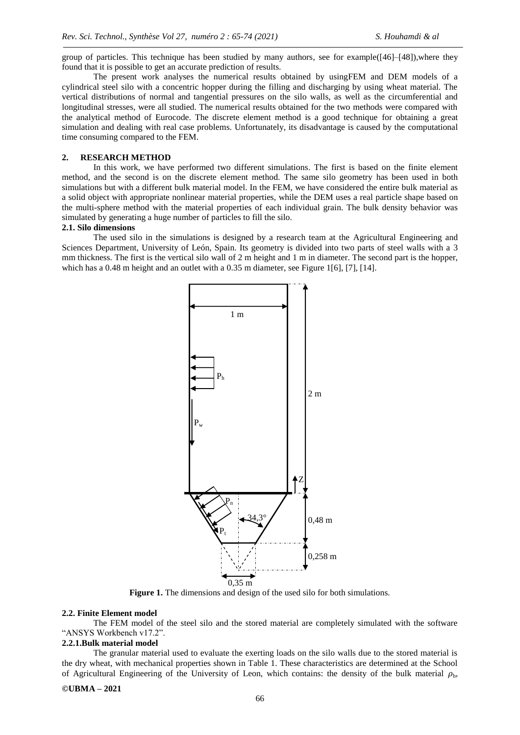group of particles. This technique has been studied by many authors, see for example([46]–[48]),where they found that it is possible to get an accurate prediction of results.

The present work analyses the numerical results obtained by usingFEM and DEM models of a cylindrical steel silo with a concentric hopper during the filling and discharging by using wheat material. The vertical distributions of normal and tangential pressures on the silo walls, as well as the circumferential and longitudinal stresses, were all studied. The numerical results obtained for the two methods were compared with the analytical method of Eurocode. The discrete element method is a good technique for obtaining a great simulation and dealing with real case problems. Unfortunately, its disadvantage is caused by the computational time consuming compared to the FEM.

## **2. RESEARCH METHOD**

In this work, we have performed two different simulations. The first is based on the finite element method, and the second is on the discrete element method. The same silo geometry has been used in both simulations but with a different bulk material model. In the FEM, we have considered the entire bulk material as a solid object with appropriate nonlinear material properties, while the DEM uses a real particle shape based on the multi-sphere method with the material properties of each individual grain. The bulk density behavior was simulated by generating a huge number of particles to fill the silo.

#### **2.1. Silo dimensions**

The used silo in the simulations is designed by a research team at the Agricultural Engineering and Sciences Department, University of León, Spain. Its geometry is divided into two parts of steel walls with a 3 mm thickness. The first is the vertical silo wall of 2 m height and 1 m in diameter. The second part is the hopper, which has a 0.48 m height and an outlet with a 0.35 m diameter, see Figure 1[6], [7], [14].



**Figure 1.** The dimensions and design of the used silo for both simulations.

#### **2.2. Finite Element model**

The FEM model of the steel silo and the stored material are completely simulated with the software "ANSYS Workbench v17.2".

# **2.2.1.Bulk material model**

The granular material used to evaluate the exerting loads on the silo walls due to the stored material is the dry wheat, with mechanical properties shown in Table 1. These characteristics are determined at the School of Agricultural Engineering of the University of Leon, which contains: the density of the bulk material  $\rho_{\rm b}$ ,

#### **©UBMA – 2021**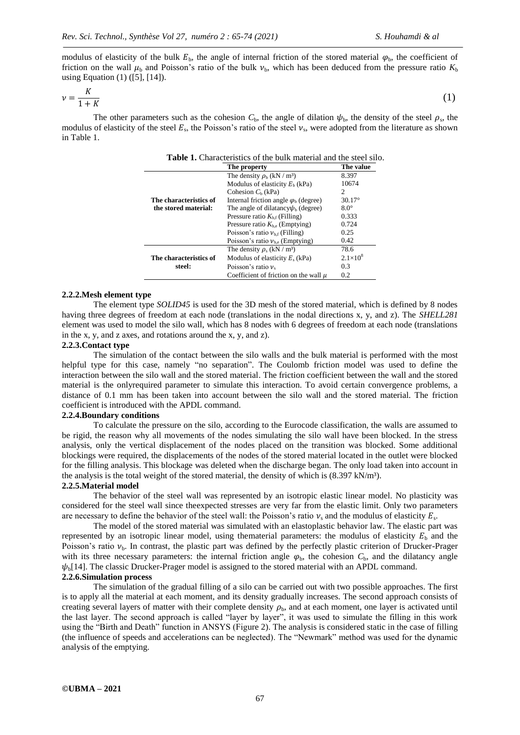modulus of elasticity of the bulk  $E_b$ , the angle of internal friction of the stored material  $\varphi_b$ , the coefficient of friction on the wall  $\mu_b$  and Poisson's ratio of the bulk  $\nu_b$ , which has been deduced from the pressure ratio  $K_b$ using Equation (1) ([5], [14]).

$$
\nu = \frac{K}{1+K} \tag{1}
$$

The other parameters such as the cohesion  $C_b$ , the angle of dilation  $\psi_b$ , the density of the steel  $\rho_s$ , the modulus of elasticity of the steel  $E_s$ , the Poisson's ratio of the steel  $v_s$ , were adopted from the literature as shown in Table 1.

|                                                | The property                                 | The value         |
|------------------------------------------------|----------------------------------------------|-------------------|
|                                                | The density $\rho_b$ (kN / m <sup>3</sup> )  | 8.397             |
|                                                | Modulus of elasticity $Eb$ (kPa)             | 10674             |
|                                                | Cohesion $Ch$ (kPa)                          | 2                 |
| The characteristics of<br>the stored material: | Internal friction angle $\varphi_b$ (degree) | $30.17^{\circ}$   |
|                                                | The angle of dilatancy $\psi_b$ (degree)     | $8.0^\circ$       |
|                                                | Pressure ratio $K_{\text{hf}}$ (Filling)     | 0.333             |
|                                                | Pressure ratio $K_{\text{he}}$ (Emptying)    | 0.724             |
|                                                | Poisson's ratio $v_{b,f}$ (Filling)          | 0.25              |
|                                                | Poisson's ratio $v_{he}$ (Emptying)          | 0.42              |
|                                                | The density $\rho_s$ (kN / m <sup>3</sup> )  | 78.6              |
| The characteristics of<br>steel:               | Modulus of elasticity $E_s$ (kPa)            | $2.1\times10^{8}$ |
|                                                | Poisson's ratio $\nu$ .                      | 0.3               |
|                                                | Coefficient of friction on the wall $\mu$    | 0.2               |

### **Table 1.** Characteristics of the bulk material and the steel silo.

#### **2.2.2.Mesh element type**

The element type *SOLID45* is used for the 3D mesh of the stored material, which is defined by 8 nodes having three degrees of freedom at each node (translations in the nodal directions x, y, and z). The *SHELL281* element was used to model the silo wall, which has 8 nodes with 6 degrees of freedom at each node (translations in the x, y, and z axes, and rotations around the x, y, and z).

#### **2.2.3.Contact type**

The simulation of the contact between the silo walls and the bulk material is performed with the most helpful type for this case, namely "no separation". The Coulomb friction model was used to define the interaction between the silo wall and the stored material. The friction coefficient between the wall and the stored material is the onlyrequired parameter to simulate this interaction. To avoid certain convergence problems, a distance of 0.1 mm has been taken into account between the silo wall and the stored material. The friction coefficient is introduced with the APDL command.

# **2.2.4.Boundary conditions**

To calculate the pressure on the silo, according to the Eurocode classification, the walls are assumed to be rigid, the reason why all movements of the nodes simulating the silo wall have been blocked. In the stress analysis, only the vertical displacement of the nodes placed on the transition was blocked. Some additional blockings were required, the displacements of the nodes of the stored material located in the outlet were blocked for the filling analysis. This blockage was deleted when the discharge began. The only load taken into account in the analysis is the total weight of the stored material, the density of which is  $(8.397 \text{ kN/m}^3)$ .

#### **2.2.5.Material model**

The behavior of the steel wall was represented by an isotropic elastic linear model. No plasticity was considered for the steel wall since theexpected stresses are very far from the elastic limit. Only two parameters are necessary to define the behavior of the steel wall: the Poisson's ratio  $v_s$  and the modulus of elasticity  $E_s$ .

The model of the stored material was simulated with an elastoplastic behavior law. The elastic part was represented by an isotropic linear model, using thematerial parameters: the modulus of elasticity  $E<sub>b</sub>$  and the Poisson's ratio  $v<sub>b</sub>$ . In contrast, the plastic part was defined by the perfectly plastic criterion of Drucker-Prager with its three necessary parameters: the internal friction angle  $\varphi_b$ , the cohesion  $C_b$ , and the dilatancy angle  $\psi_{\rm h}$ [14]. The classic Drucker-Prager model is assigned to the stored material with an APDL command.

## **2.2.6.Simulation process**

The simulation of the gradual filling of a silo can be carried out with two possible approaches. The first is to apply all the material at each moment, and its density gradually increases. The second approach consists of creating several layers of matter with their complete density  $\rho_{\rm b}$ , and at each moment, one layer is activated until the last layer. The second approach is called "layer by layer", it was used to simulate the filling in this work using the "Birth and Death" function in ANSYS (Figure 2). The analysis is considered static in the case of filling (the influence of speeds and accelerations can be neglected). The "Newmark" method was used for the dynamic analysis of the emptying.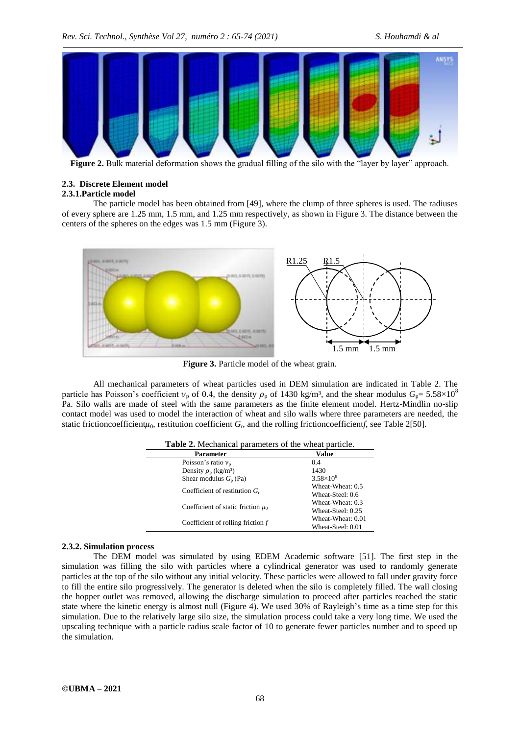

**Figure 2.** Bulk material deformation shows the gradual filling of the silo with the "layer by layer" approach.

# **2.3. Discrete Element model**

# **2.3.1.Particle model**

The particle model has been obtained from [49], where the clump of three spheres is used. The radiuses of every sphere are 1.25 mm, 1.5 mm, and 1.25 mm respectively, as shown in Figure 3. The distance between the centers of the spheres on the edges was 1.5 mm (Figure 3).



**Figure 3.** Particle model of the wheat grain.

All mechanical parameters of wheat particles used in DEM simulation are indicated in Table 2. The particle has Poisson's coefficient  $v_p$  of 0.4, the density  $\rho_p$  of 1430 kg/m<sup>3</sup>, and the shear modulus  $G_p = 5.58 \times 10^8$ Pa. Silo walls are made of steel with the same parameters as the finite element model. Hertz-Mindlin no-slip contact model was used to model the interaction of wheat and silo walls where three parameters are needed, the static frictioncoefficient $\mu_0$ , restitution coefficient  $G_r$ , and the rolling frictioncoefficientf, see Table 2[50].

| <b>Table 2.</b> Mechanical parameters of the wheat particle. |                    |  |
|--------------------------------------------------------------|--------------------|--|
| <b>Parameter</b>                                             | Value              |  |
| Poisson's ratio $v_p$                                        | 0.4                |  |
| Density $\rho_{p}$ (kg/m <sup>3</sup> )                      | 1430               |  |
| Shear modulus $G_n$ (Pa)                                     | $3.58\times10^{8}$ |  |
|                                                              | Wheat-Wheat: 0.5   |  |
| Coefficient of restitution $G_r$                             | Wheat-Steel: 0.6   |  |
|                                                              | Wheat-Wheat: 0.3   |  |
| Coefficient of static friction $\mu_0$                       | Wheat-Steel: 0.25  |  |
|                                                              | Wheat-Wheat: 0.01  |  |
| Coefficient of rolling friction $f$                          | Wheat-Steel: 0.01  |  |

#### **2.3.2. Simulation process**

The DEM model was simulated by using EDEM Academic software [51]. The first step in the simulation was filling the silo with particles where a cylindrical generator was used to randomly generate particles at the top of the silo without any initial velocity. These particles were allowed to fall under gravity force to fill the entire silo progressively. The generator is deleted when the silo is completely filled. The wall closing the hopper outlet was removed, allowing the discharge simulation to proceed after particles reached the static state where the kinetic energy is almost null (Figure 4). We used 30% of Rayleigh's time as a time step for this simulation. Due to the relatively large silo size, the simulation process could take a very long time. We used the upscaling technique with a particle radius scale factor of 10 to generate fewer particles number and to speed up the simulation.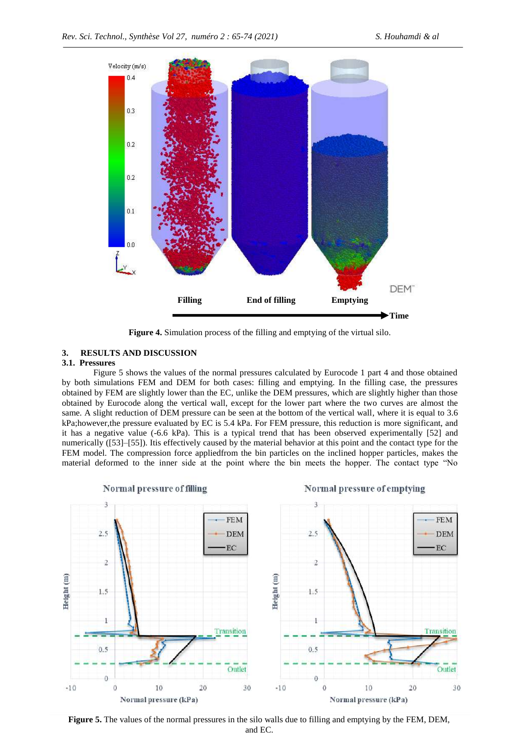

**Figure 4.** Simulation process of the filling and emptying of the virtual silo.

#### **3. RESULTS AND DISCUSSION**

#### **3.1. Pressures**

Figure 5 shows the values of the normal pressures calculated by Eurocode 1 part 4 and those obtained by both simulations FEM and DEM for both cases: filling and emptying. In the filling case, the pressures obtained by FEM are slightly lower than the EC, unlike the DEM pressures, which are slightly higher than those obtained by Eurocode along the vertical wall, except for the lower part where the two curves are almost the same. A slight reduction of DEM pressure can be seen at the bottom of the vertical wall, where it is equal to 3.6 kPa;however,the pressure evaluated by EC is 5.4 kPa. For FEM pressure, this reduction is more significant, and it has a negative value (-6.6 kPa). This is a typical trend that has been observed experimentally [52] and numerically ([53]–[55]). Itis effectively caused by the material behavior at this point and the contact type for the FEM model. The compression force appliedfrom the bin particles on the inclined hopper particles, makes the material deformed to the inner side at the point where the bin meets the hopper. The contact type "No



**Figure 5.** The values of the normal pressures in the silo walls due to filling and emptying by the FEM, DEM, and EC.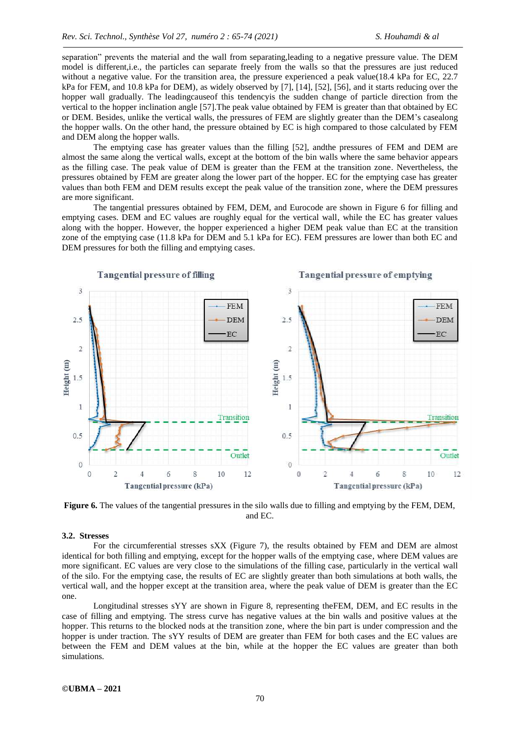separation" prevents the material and the wall from separating, leading to a negative pressure value. The DEM model is different,i.e., the particles can separate freely from the walls so that the pressures are just reduced without a negative value. For the transition area, the pressure experienced a peak value(18.4 kPa for EC, 22.7 kPa for FEM, and 10.8 kPa for DEM), as widely observed by [7], [14], [52], [56], and it starts reducing over the hopper wall gradually. The leadingcauseof this tendencyis the sudden change of particle direction from the vertical to the hopper inclination angle [57].The peak value obtained by FEM is greater than that obtained by EC or DEM. Besides, unlike the vertical walls, the pressures of FEM are slightly greater than the DEM's casealong the hopper walls. On the other hand, the pressure obtained by EC is high compared to those calculated by FEM and DEM along the hopper walls.

The emptying case has greater values than the filling [52], andthe pressures of FEM and DEM are almost the same along the vertical walls, except at the bottom of the bin walls where the same behavior appears as the filling case. The peak value of DEM is greater than the FEM at the transition zone. Nevertheless, the pressures obtained by FEM are greater along the lower part of the hopper. EC for the emptying case has greater values than both FEM and DEM results except the peak value of the transition zone, where the DEM pressures are more significant.

The tangential pressures obtained by FEM, DEM, and Eurocode are shown in Figure 6 for filling and emptying cases. DEM and EC values are roughly equal for the vertical wall, while the EC has greater values along with the hopper. However, the hopper experienced a higher DEM peak value than EC at the transition zone of the emptying case (11.8 kPa for DEM and 5.1 kPa for EC). FEM pressures are lower than both EC and DEM pressures for both the filling and emptying cases.



**Figure 6.** The values of the tangential pressures in the silo walls due to filling and emptying by the FEM, DEM, and EC.

#### **3.2. Stresses**

For the circumferential stresses sXX (Figure 7), the results obtained by FEM and DEM are almost identical for both filling and emptying, except for the hopper walls of the emptying case, where DEM values are more significant. EC values are very close to the simulations of the filling case, particularly in the vertical wall of the silo. For the emptying case, the results of EC are slightly greater than both simulations at both walls, the vertical wall, and the hopper except at the transition area, where the peak value of DEM is greater than the EC one.

Longitudinal stresses sYY are shown in Figure 8, representing theFEM, DEM, and EC results in the case of filling and emptying. The stress curve has negative values at the bin walls and positive values at the hopper. This returns to the blocked nods at the transition zone, where the bin part is under compression and the hopper is under traction. The sYY results of DEM are greater than FEM for both cases and the EC values are between the FEM and DEM values at the bin, while at the hopper the EC values are greater than both simulations.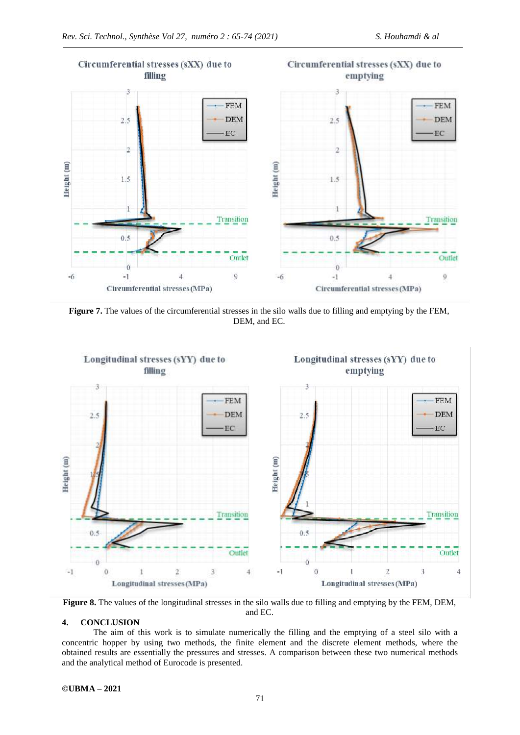

**Figure 7.** The values of the circumferential stresses in the silo walls due to filling and emptying by the FEM, DEM, and EC.



**Figure 8.** The values of the longitudinal stresses in the silo walls due to filling and emptying by the FEM, DEM, and EC.

# **4. CONCLUSION**

The aim of this work is to simulate numerically the filling and the emptying of a steel silo with a concentric hopper by using two methods, the finite element and the discrete element methods, where the obtained results are essentially the pressures and stresses. A comparison between these two numerical methods and the analytical method of Eurocode is presented.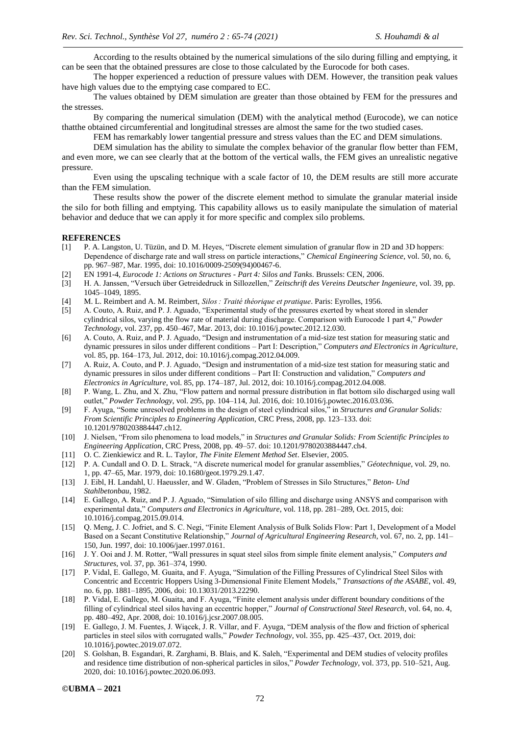According to the results obtained by the numerical simulations of the silo during filling and emptying, it can be seen that the obtained pressures are close to those calculated by the Eurocode for both cases.

The hopper experienced a reduction of pressure values with DEM. However, the transition peak values have high values due to the emptying case compared to EC.

The values obtained by DEM simulation are greater than those obtained by FEM for the pressures and the stresses.

By comparing the numerical simulation (DEM) with the analytical method (Eurocode), we can notice thatthe obtained circumferential and longitudinal stresses are almost the same for the two studied cases.

FEM has remarkably lower tangential pressure and stress values than the EC and DEM simulations.

DEM simulation has the ability to simulate the complex behavior of the granular flow better than FEM, and even more, we can see clearly that at the bottom of the vertical walls, the FEM gives an unrealistic negative pressure.

Even using the upscaling technique with a scale factor of 10, the DEM results are still more accurate than the FEM simulation.

These results show the power of the discrete element method to simulate the granular material inside the silo for both filling and emptying. This capability allows us to easily manipulate the simulation of material behavior and deduce that we can apply it for more specific and complex silo problems.

#### **REFERENCES**

- [1] P. A. Langston, U. Tüzün, and D. M. Heyes, "Discrete element simulation of granular flow in 2D and 3D hoppers: Dependence of discharge rate and wall stress on particle interactions," *Chemical Engineering Science*, vol. 50, no. 6, pp. 967–987, Mar. 1995, doi: 10.1016/0009-2509(94)00467-6.
- [2] EN 1991-4, *Eurocode 1: Actions on Structures - Part 4: Silos and Tanks*. Brussels: CEN, 2006.
- [3] H. A. Janssen, "Versuch über Getreidedruck in Sillozellen," Zeitschrift des Vereins Deutscher Ingenieure, vol. 39, pp. 1045–1049, 1895.
- [4] M. L. Reimbert and A. M. Reimbert, *Silos : Traité théorique et pratique*. Paris: Eyrolles, 1956.
- [5] A. Couto, A. Ruiz, and P. J. Aguado, "Experimental study of the pressures exerted by wheat stored in slender cylindrical silos, varying the flow rate of material during discharge. Comparison with Eurocode 1 part 4," Powder *Technology*, vol. 237, pp. 450–467, Mar. 2013, doi: 10.1016/j.powtec.2012.12.030.
- [6] A. Couto, A. Ruiz, and P. J. Aguado, "Design and instrumentation of a mid-size test station for measuring static and dynamic pressures in silos under different conditions – Part I: Description," *Computers and Electronics in Agriculture*, vol. 85, pp. 164–173, Jul. 2012, doi: 10.1016/j.compag.2012.04.009.
- [7] A. Ruiz, A. Couto, and P. J. Aguado, "Design and instrumentation of a mid-size test station for measuring static and dynamic pressures in silos under different conditions – Part II: Construction and validation," *Computers and Electronics in Agriculture*, vol. 85, pp. 174–187, Jul. 2012, doi: 10.1016/j.compag.2012.04.008.
- [8] P. Wang, L. Zhu, and X. Zhu, "Flow pattern and normal pressure distribution in flat bottom silo discharged using wall outlet,‖ *Powder Technology*, vol. 295, pp. 104–114, Jul. 2016, doi: 10.1016/j.powtec.2016.03.036.
- [9] F. Ayuga, "Some unresolved problems in the design of steel cylindrical silos," in *Structures and Granular Solids: From Scientific Principles to Engineering Application*, CRC Press, 2008, pp. 123–133. doi: 10.1201/9780203884447.ch12.
- [10] J. Nielsen, ―From silo phenomena to load models,‖ in *Structures and Granular Solids: From Scientific Principles to Engineering Application*, CRC Press, 2008, pp. 49–57. doi: 10.1201/9780203884447.ch4.
- [11] O. C. Zienkiewicz and R. L. Taylor, *The Finite Element Method Set*. Elsevier, 2005.
- [12] P. A. Cundall and O. D. L. Strack, "A discrete numerical model for granular assemblies," *Géotechnique*, vol. 29, no. 1, pp. 47–65, Mar. 1979, doi: 10.1680/geot.1979.29.1.47.
- [13] J. Eibl, H. Landahl, U. Haeussler, and W. Gladen, "Problem of Stresses in Silo Structures," Beton- Und *Stahlbetonbau*, 1982.
- [14] E. Gallego, A. Ruiz, and P. J. Aguado, "Simulation of silo filling and discharge using ANSYS and comparison with experimental data," *Computers and Electronics in Agriculture*, vol. 118, pp. 281–289, Oct. 2015, doi: 10.1016/j.compag.2015.09.014.
- [15] Q. Meng, J. C. Jofriet, and S. C. Negi, "Finite Element Analysis of Bulk Solids Flow: Part 1, Development of a Model Based on a Secant Constitutive Relationship," *Journal of Agricultural Engineering Research*, vol. 67, no. 2, pp. 141– 150, Jun. 1997, doi: 10.1006/jaer.1997.0161.
- [16] J. Y. Ooi and J. M. Rotter, "Wall pressures in squat steel silos from simple finite element analysis," *Computers and Structures*, vol. 37, pp. 361–374, 1990.
- [17] P. Vidal, E. Gallego, M. Guaita, and F. Ayuga, "Simulation of the Filling Pressures of Cylindrical Steel Silos with Concentric and Eccentric Hoppers Using 3-Dimensional Finite Element Models," Transactions of the ASABE, vol. 49, no. 6, pp. 1881–1895, 2006, doi: 10.13031/2013.22290.
- [18] P. Vidal, E. Gallego, M. Guaita, and F. Ayuga, "Finite element analysis under different boundary conditions of the filling of cylindrical steel silos having an eccentric hopper," *Journal of Constructional Steel Research*, vol. 64, no. 4, pp. 480–492, Apr. 2008, doi: 10.1016/j.jcsr.2007.08.005.
- [19] E. Gallego, J. M. Fuentes, J. Wiącek, J. R. Villar, and F. Ayuga, "DEM analysis of the flow and friction of spherical particles in steel silos with corrugated walls," *Powder Technology*, vol. 355, pp. 425–437, Oct. 2019, doi: 10.1016/j.powtec.2019.07.072.
- [20] S. Golshan, B. Esgandari, R. Zarghami, B. Blais, and K. Saleh, "Experimental and DEM studies of velocity profiles and residence time distribution of non-spherical particles in silos," Powder Technology, vol. 373, pp. 510–521, Aug. 2020, doi: 10.1016/j.powtec.2020.06.093.

**©UBMA – 2021**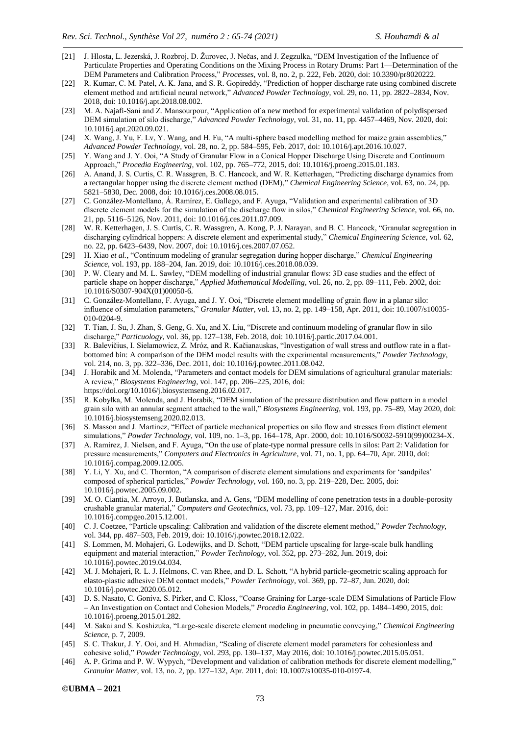- [21] J. Hlosta, L. Jezerská, J. Rozbroj, D. Žurovec, J. Nečas, and J. Zegzulka, "DEM Investigation of the Influence of Particulate Properties and Operating Conditions on the Mixing Process in Rotary Drums: Part 1—Determination of the DEM Parameters and Calibration Process," Processes, vol. 8, no. 2, p. 222, Feb. 2020, doi: 10.3390/pr8020222.
- [22] R. Kumar, C. M. Patel, A. K. Jana, and S. R. Gopireddy, "Prediction of hopper discharge rate using combined discrete element method and artificial neural network," *Advanced Powder Technology*, vol. 29, no. 11, pp. 2822–2834, Nov. 2018, doi: 10.1016/j.apt.2018.08.002.
- [23] M. A. Najafi-Sani and Z. Mansourpour, "Application of a new method for experimental validation of polydispersed DEM simulation of silo discharge," *Advanced Powder Technology*, vol. 31, no. 11, pp. 4457–4469, Nov. 2020, doi: 10.1016/j.apt.2020.09.021.
- [24] X. Wang, J. Yu, F. Lv, Y. Wang, and H. Fu, "A multi-sphere based modelling method for maize grain assemblies," *Advanced Powder Technology*, vol. 28, no. 2, pp. 584–595, Feb. 2017, doi: 10.1016/j.apt.2016.10.027.
- [25] Y. Wang and J. Y. Ooi, "A Study of Granular Flow in a Conical Hopper Discharge Using Discrete and Continuum Approach,‖ *Procedia Engineering*, vol. 102, pp. 765–772, 2015, doi: 10.1016/j.proeng.2015.01.183.
- [26] A. Anand, J. S. Curtis, C. R. Wassgren, B. C. Hancock, and W. R. Ketterhagen, "Predicting discharge dynamics from a rectangular hopper using the discrete element method (DEM)," *Chemical Engineering Science*, vol. 63, no. 24, pp. 5821–5830, Dec. 2008, doi: 10.1016/j.ces.2008.08.015.
- [27] C. González-Montellano, Á. Ramírez, E. Gallego, and F. Ayuga, "Validation and experimental calibration of 3D discrete element models for the simulation of the discharge flow in silos," *Chemical Engineering Science*, vol. 66, no. 21, pp. 5116–5126, Nov. 2011, doi: 10.1016/j.ces.2011.07.009.
- [28] W. R. Ketterhagen, J. S. Curtis, C. R. Wassgren, A. Kong, P. J. Narayan, and B. C. Hancock, "Granular segregation in discharging cylindrical hoppers: A discrete element and experimental study," *Chemical Engineering Science*, vol. 62, no. 22, pp. 6423–6439, Nov. 2007, doi: 10.1016/j.ces.2007.07.052.
- [29] H. Xiao et al., "Continuum modeling of granular segregation during hopper discharge," *Chemical Engineering Science*, vol. 193, pp. 188–204, Jan. 2019, doi: 10.1016/j.ces.2018.08.039.
- [30] P. W. Cleary and M. L. Sawley, "DEM modelling of industrial granular flows: 3D case studies and the effect of particle shape on hopper discharge," *Applied Mathematical Modelling*, vol. 26, no. 2, pp. 89–111, Feb. 2002, doi: 10.1016/S0307-904X(01)00050-6.
- [31] C. González-Montellano, F. Ayuga, and J. Y. Ooi, "Discrete element modelling of grain flow in a planar silo: influence of simulation parameters,‖ *Granular Matter*, vol. 13, no. 2, pp. 149–158, Apr. 2011, doi: 10.1007/s10035- 010-0204-9.
- [32] T. Tian, J. Su, J. Zhan, S. Geng, G. Xu, and X. Liu, "Discrete and continuum modeling of granular flow in silo discharge," *Particuology*, vol. 36, pp. 127-138, Feb. 2018, doi: 10.1016/j.partic.2017.04.001.
- [33] R. Balevičius, I. Sielamowicz, Z. Mróz, and R. Kačianauskas, "Investigation of wall stress and outflow rate in a flatbottomed bin: A comparison of the DEM model results with the experimental measurements," *Powder Technology*, vol. 214, no. 3, pp. 322–336, Dec. 2011, doi: 10.1016/j.powtec.2011.08.042.
- [34] J. Horabik and M. Molenda, "Parameters and contact models for DEM simulations of agricultural granular materials: A review," *Biosystems Engineering*, vol. 147, pp. 206–225, 2016, doi: https://doi.org/10.1016/j.biosystemseng.2016.02.017.
- [35] R. Kobyłka, M. Molenda, and J. Horabik, "DEM simulation of the pressure distribution and flow pattern in a model grain silo with an annular segment attached to the wall," *Biosystems Engineering*, vol. 193, pp. 75–89, May 2020, doi: 10.1016/j.biosystemseng.2020.02.013.
- [36] S. Masson and J. Martinez, "Effect of particle mechanical properties on silo flow and stresses from distinct element simulations," *Powder Technology*, vol. 109, no. 1–3, pp. 164–178, Apr. 2000, doi: 10.1016/S0032-5910(99)00234-X.
- [37] A. Ramírez, J. Nielsen, and F. Ayuga, "On the use of plate-type normal pressure cells in silos: Part 2: Validation for pressure measurements," *Computers and Electronics in Agriculture*, vol. 71, no. 1, pp. 64–70, Apr. 2010, doi: 10.1016/j.compag.2009.12.005.
- [38] Y. Li, Y. Xu, and C. Thornton, "A comparison of discrete element simulations and experiments for 'sandpiles' composed of spherical particles," *Powder Technology*, vol. 160, no. 3, pp. 219–228, Dec. 2005, doi: 10.1016/j.powtec.2005.09.002.
- [39] M. O. Ciantia, M. Arroyo, J. Butlanska, and A. Gens, "DEM modelling of cone penetration tests in a double-porosity crushable granular material," *Computers and Geotechnics*, vol. 73, pp. 109-127, Mar. 2016, doi: 10.1016/j.compgeo.2015.12.001.
- [40] C. J. Coetzee, "Particle upscaling: Calibration and validation of the discrete element method," *Powder Technology*, vol. 344, pp. 487–503, Feb. 2019, doi: 10.1016/j.powtec.2018.12.022.
- [41] S. Lommen, M. Mohajeri, G. Lodewijks, and D. Schott, "DEM particle upscaling for large-scale bulk handling equipment and material interaction," *Powder Technology*, vol. 352, pp. 273–282, Jun. 2019, doi: 10.1016/j.powtec.2019.04.034.
- [42] M. J. Mohajeri, R. L. J. Helmons, C. van Rhee, and D. L. Schott, "A hybrid particle-geometric scaling approach for elasto-plastic adhesive DEM contact models," *Powder Technology*, vol. 369, pp. 72–87, Jun. 2020, doi: 10.1016/j.powtec.2020.05.012.
- [43] D. S. Nasato, C. Goniva, S. Pirker, and C. Kloss, "Coarse Graining for Large-scale DEM Simulations of Particle Flow – An Investigation on Contact and Cohesion Models,‖ *Procedia Engineering*, vol. 102, pp. 1484–1490, 2015, doi: 10.1016/j.proeng.2015.01.282.
- [44] M. Sakai and S. Koshizuka, "Large-scale discrete element modeling in pneumatic conveying," *Chemical Engineering Science*, p. 7, 2009.
- [45] S. C. Thakur, J. Y. Ooi, and H. Ahmadian, "Scaling of discrete element model parameters for cohesionless and cohesive solid,‖ *Powder Technology*, vol. 293, pp. 130–137, May 2016, doi: 10.1016/j.powtec.2015.05.051.
- [46] A. P. Grima and P. W. Wypych, "Development and validation of calibration methods for discrete element modelling," *Granular Matter*, vol. 13, no. 2, pp. 127–132, Apr. 2011, doi: 10.1007/s10035-010-0197-4.

**©UBMA – 2021**